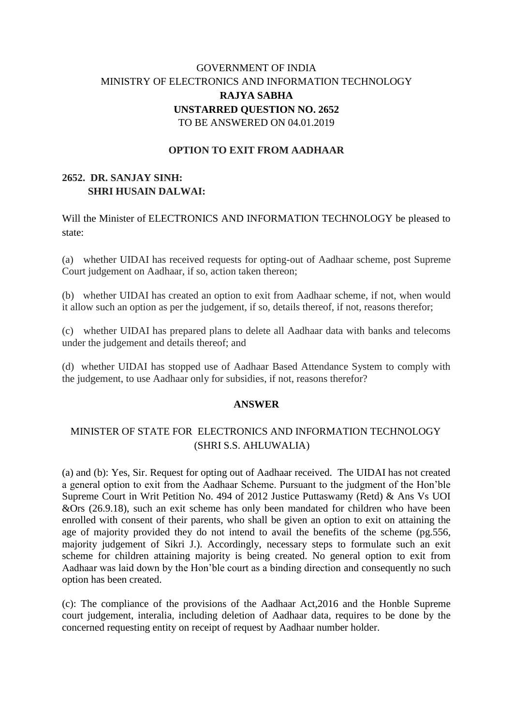# GOVERNMENT OF INDIA MINISTRY OF ELECTRONICS AND INFORMATION TECHNOLOGY **RAJYA SABHA UNSTARRED QUESTION NO. 2652** TO BE ANSWERED ON 04.01.2019

#### **OPTION TO EXIT FROM AADHAAR**

## **2652. DR. SANJAY SINH: SHRI HUSAIN DALWAI:**

Will the Minister of ELECTRONICS AND INFORMATION TECHNOLOGY be pleased to state:

(a) whether UIDAI has received requests for opting-out of Aadhaar scheme, post Supreme Court judgement on Aadhaar, if so, action taken thereon;

(b) whether UIDAI has created an option to exit from Aadhaar scheme, if not, when would it allow such an option as per the judgement, if so, details thereof, if not, reasons therefor;

(c) whether UIDAI has prepared plans to delete all Aadhaar data with banks and telecoms under the judgement and details thereof; and

(d) whether UIDAI has stopped use of Aadhaar Based Attendance System to comply with the judgement, to use Aadhaar only for subsidies, if not, reasons therefor?

#### **ANSWER**

## MINISTER OF STATE FOR ELECTRONICS AND INFORMATION TECHNOLOGY (SHRI S.S. AHLUWALIA)

(a) and (b): Yes, Sir. Request for opting out of Aadhaar received. The UIDAI has not created a general option to exit from the Aadhaar Scheme. Pursuant to the judgment of the Hon'ble Supreme Court in Writ Petition No. 494 of 2012 Justice Puttaswamy (Retd) & Ans Vs UOI &Ors (26.9.18), such an exit scheme has only been mandated for children who have been enrolled with consent of their parents, who shall be given an option to exit on attaining the age of majority provided they do not intend to avail the benefits of the scheme (pg.556, majority judgement of Sikri J.). Accordingly, necessary steps to formulate such an exit scheme for children attaining majority is being created. No general option to exit from Aadhaar was laid down by the Hon'ble court as a binding direction and consequently no such option has been created.

(c): The compliance of the provisions of the Aadhaar Act,2016 and the Honble Supreme court judgement, interalia, including deletion of Aadhaar data, requires to be done by the concerned requesting entity on receipt of request by Aadhaar number holder.